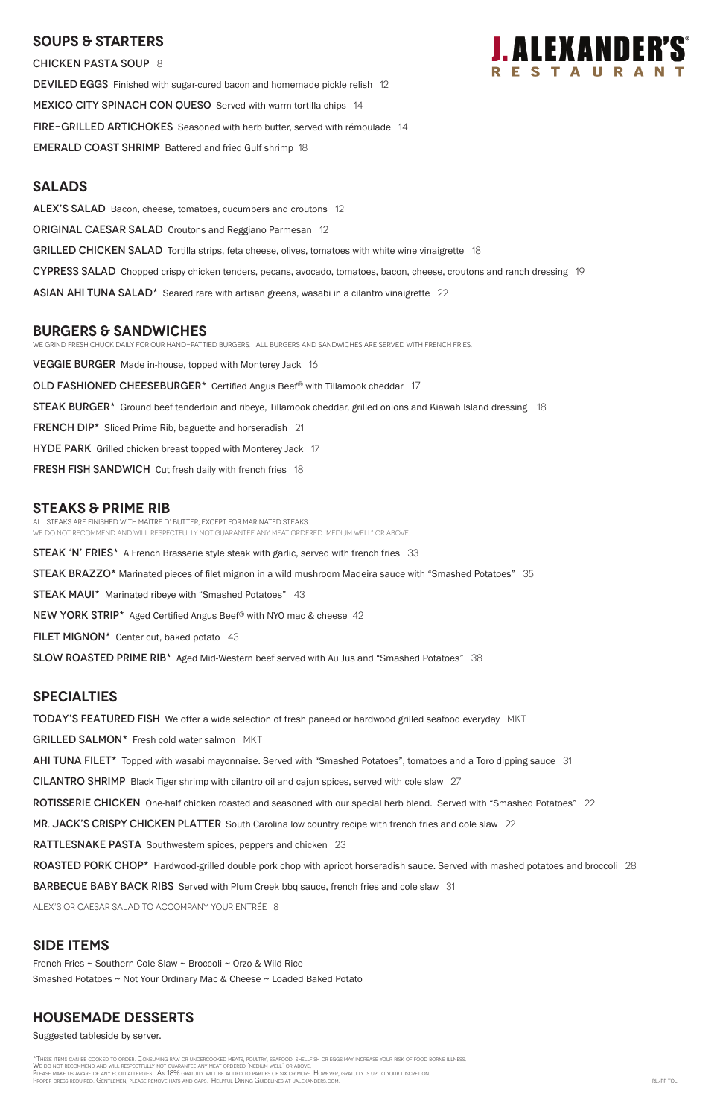## **SOUPS & Starters**

CHICKEN PASTA SOUP 8

DEVILED EGGS Finished with sugar-cured bacon and homemade pickle relish 12 MEXICO CITY SPINACH CON QUESO Served with warm tortilla chips 14 FiRE-GRILLED ARTICHOKES Seasoned with herb butter, served with rémoulade 14 EMERALD COAST SHRIMP Battered and fried Gulf shrimp 18

### **Salads**

ALEX'S SALAD Bacon, cheese, tomatoes, cucumbers and croutons 12

**ORIGINAL CAESAR SALAD** Croutons and Reggiano Parmesan 12

GRILLED CHICKEN SALAD Tortilla strips, feta cheese, olives, tomatoes with white wine vinaigrette 18

CYPRESS SALAD Chopped crispy chicken tenders, pecans, avocado, tomatoes, bacon, cheese, croutons and ranch dressing 19

ASIAN AHI TUNA SALAD\* Seared rare with artisan greens, wasabi in a cilantro vinaigrette 22

## **burgers & Sandwiches**

We grind fresh chuck daily for our hand-pattied burgers. All Burgers and sandwiches are served with French Fries.

VEGGIE BURGER Made in-house, topped with Monterey Jack 16

OLD FASHIONED CHEESEBURGER\* Certified Angus Beef® with Tillamook cheddar 17

STEAK BURGER<sup>\*</sup> Ground beef tenderloin and ribeye, Tillamook cheddar, grilled onions and Kiawah Island dressing 18

FRENCH DIP<sup>\*</sup> Sliced Prime Rib, baguette and horseradish 21

**HYDE PARK** Grilled chicken breast topped with Monterey Jack 17

**FRESH FISH SANDWICH** Cut fresh daily with french fries 18

## **STEAKS & Prime Rib**

All steaks are finished with Maître d' butter, except for marinated steaks. WE DO NOT RECOMMEND AND WILL RESPECTFULLY NOT GUARANTEE ANY MEAT ORDERED 'MEDIUM WELL" OR ABOVE.

STEAK 'N' FRIES\* A French Brasserie style steak with garlic, served with french fries 33

STEAK BRAZZO\* Marinated pieces of filet mignon in a wild mushroom Madeira sauce with "Smashed Potatoes" 35

\*These items can be cooked to order. Consuming raw or undercooked meats, poultry, seafood, shellfish or eggs may increase your risk of food borne illness. We do not recommend and will respectfully not guarantee any meat ordered 'medium well' or above. Please make us aware of any food allergies. An 18% gratuity will be added to parties of six or more. However, gratuity is up to your discretion. PROPER DRESS REQUIRED. GENTLEMEN, PLEASE REMOVE HATS AND CAPS. HELPFUL DINING GUIDELINES AT JALEXANDERS.COM. RL/PP TOL

STEAK MAUI\* Marinated ribeye with "Smashed Potatoes" 43

NEW YORK STRIP\* Aged Certified Angus Beef® with NYO mac & cheese 42

FILET MIGNON $*$  Center cut, baked potato 43

SLOW ROASTED PRIME RIB<sup>\*</sup> Aged Mid-Western beef served with Au Jus and "Smashed Potatoes" 38

## **specialties**

TODAY'S FEATURED FISH We offer a wide selection of fresh paneed or hardwood grilled seafood everyday MKT

GRILLED SALMON\* Fresh cold water salmon MKT

AHI TUNA FILET<sup>\*</sup> Topped with wasabi mayonnaise. Served with "Smashed Potatoes", tomatoes and a Toro dipping sauce 31

CILANTRO SHRIMP Black Tiger shrimp with cilantro oil and cajun spices, served with cole slaw 27

ROTISSERIE CHICKEN One-half chicken roasted and seasoned with our special herb blend. Served with "Smashed Potatoes" 22

MR. JACK'S CRISPY CHICKEN PLATTER South Carolina low country recipe with french fries and cole slaw 22



**RATTLESNAKE PASTA** Southwestern spices, peppers and chicken 23

ROASTED PORK CHOP\* Hardwood-grilled double pork chop with apricot horseradish sauce. Served with mashed potatoes and broccoli 28

**BARBECUE BABY BACK RIBS** Served with Plum Creek bbq sauce, french fries and cole slaw 31

ALEX's or Caesar salad to accompany your entrée 8

## **SIDE ITEMS**

French Fries ~ Southern Cole Slaw ~ Broccoli ~ Orzo & Wild Rice

Smashed Potatoes ~ Not Your Ordinary Mac & Cheese ~ Loaded Baked Potato

## **housemade DESSERTS**

Suggested tableside by server.